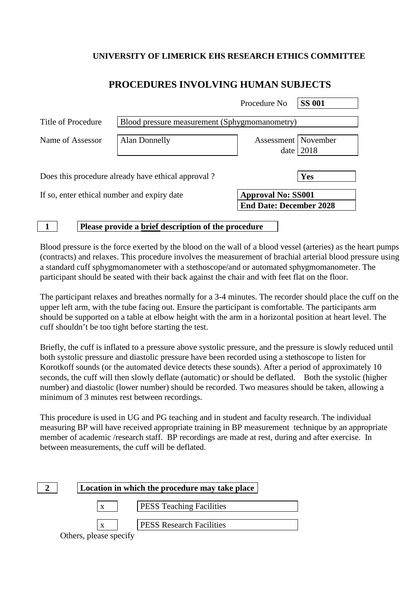## **UNIVERSITY OF LIMERICK EHS RESEARCH ETHICS COMMITTEE**

# **PROCEDURES INVOLVING HUMAN SUBJECTS**

|                                                    |                                               | Procedure No                   | <b>SS 001</b> |
|----------------------------------------------------|-----------------------------------------------|--------------------------------|---------------|
| Title of Procedure                                 | Blood pressure measurement (Sphygmomanometry) |                                |               |
| Name of Assessor                                   | Alan Donnelly                                 | Assessment   November          | date $ 2018$  |
| Does this procedure already have ethical approval? |                                               |                                | Yes           |
| If so, enter ethical number and expiry date        |                                               | <b>Approval No: SS001</b>      |               |
|                                                    |                                               | <b>End Date: December 2028</b> |               |

#### **1 Please provide a brief description of the procedure**

Blood pressure is the force exerted by the blood on the wall of a blood vessel (arteries) as the heart pumps (contracts) and relaxes. This procedure involves the measurement of brachial arterial blood pressure using a standard cuff sphygmomanometer with a stethoscope/and or automated sphygmomanometer. The participant should be seated with their back against the chair and with feet flat on the floor.

The participant relaxes and breathes normally for a 3-4 minutes. The recorder should place the cuff on the upper left arm, with the tube facing out. Ensure the participant is comfortable. The participants arm should be supported on a table at elbow height with the arm in a horizontal position at heart level. The cuff shouldn't be too tight before starting the test.

Briefly, the cuff is inflated to a pressure above systolic pressure, and the pressure is slowly reduced until both systolic pressure and diastolic pressure have been recorded using a stethoscope to listen for Korotkoff sounds (or the automated device detects these sounds). After a period of approximately 10 seconds, the cuff will then slowly deflate (automatic) or should be deflated. Both the systolic (higher number) and diastolic (lower number) should be recorded. Two measures should be taken, allowing a minimum of 3 minutes rest between recordings.

This procedure is used in UG and PG teaching and in student and faculty research. The individual measuring BP will have received appropriate training in BP measurement technique by an appropriate member of academic /research staff. BP recordings are made at rest, during and after exercise. In between measurements, the cuff will be deflated.

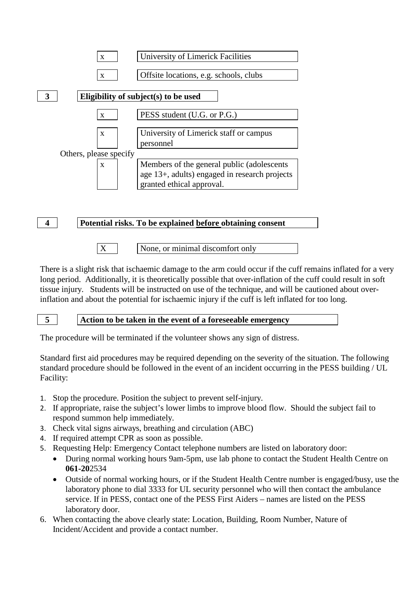

$$
\boxed{4}
$$

**4 Potential risks. To be explained before obtaining consent**

- 
- $X \mid$  None, or minimal discomfort only

There is a slight risk that ischaemic damage to the arm could occur if the cuff remains inflated for a very long period. Additionally, it is theoretically possible that over-inflation of the cuff could result in soft tissue injury. Students will be instructed on use of the technique, and will be cautioned about overinflation and about the potential for ischaemic injury if the cuff is left inflated for too long.

### **5 Action to be taken in the event of a foreseeable emergency**

The procedure will be terminated if the volunteer shows any sign of distress.

Standard first aid procedures may be required depending on the severity of the situation. The following standard procedure should be followed in the event of an incident occurring in the PESS building / UL Facility:

- 1. Stop the procedure. Position the subject to prevent self-injury.
- 2. If appropriate, raise the subject's lower limbs to improve blood flow. Should the subject fail to respond summon help immediately.
- 3. Check vital signs airways, breathing and circulation (ABC)
- 4. If required attempt CPR as soon as possible.
- 5. Requesting Help: Emergency Contact telephone numbers are listed on laboratory door:
	- During normal working hours 9am-5pm, use lab phone to contact the Student Health Centre on **061-20**2534
	- Outside of normal working hours, or if the Student Health Centre number is engaged/busy, use the laboratory phone to dial 3333 for UL security personnel who will then contact the ambulance service. If in PESS, contact one of the PESS First Aiders – names are listed on the PESS laboratory door.
- 6. When contacting the above clearly state: Location, Building, Room Number, Nature of Incident/Accident and provide a contact number.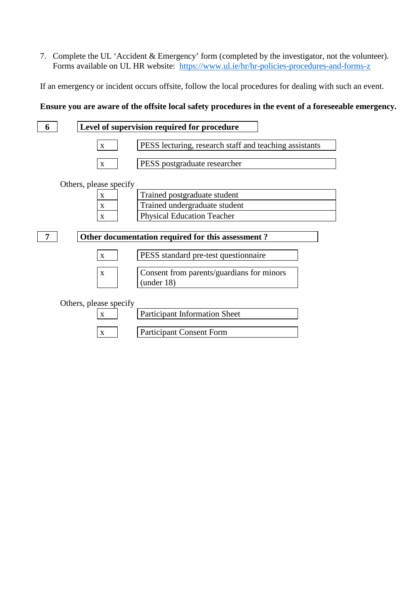7. Complete the UL 'Accident & Emergency' form (completed by the investigator, not the volunteer). Forms available on UL HR website: <https://www.ul.ie/hr/hr-policies-procedures-and-forms-z>

If an emergency or incident occurs offsite, follow the local procedures for dealing with such an event.

#### **Ensure you are aware of the offsite local safety procedures in the event of a foreseeable emergency.**